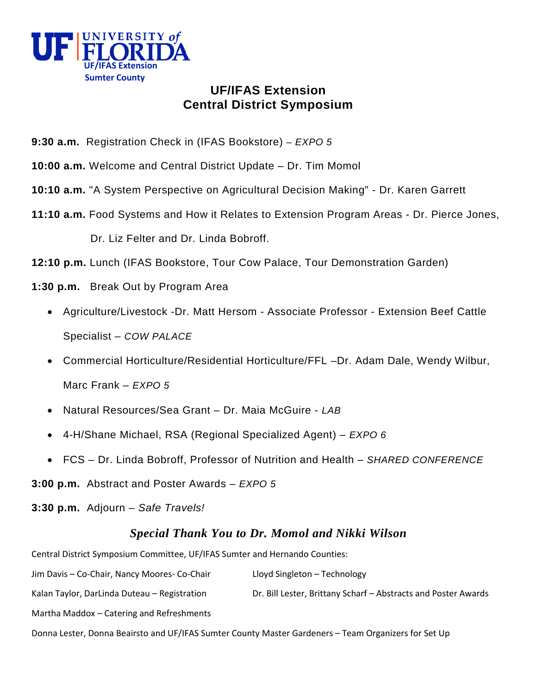

## **UF/IFAS Extension Central District Symposium**

- **9:30 a.m.** Registration Check in (IFAS Bookstore) *EXPO 5*
- **10:00 a.m.** Welcome and Central District Update Dr. Tim Momol
- **10:10 a.m.** "A System Perspective on Agricultural Decision Making" Dr. Karen Garrett
- **11:10 a.m.** Food Systems and How it Relates to Extension Program Areas Dr. Pierce Jones, Dr. Liz Felter and Dr. Linda Bobroff.

**12:10 p.m.** Lunch (IFAS Bookstore, Tour Cow Palace, Tour Demonstration Garden)

**1:30 p.m.** Break Out by Program Area

- Agriculture/Livestock -Dr. Matt Hersom Associate Professor Extension Beef Cattle Specialist – *COW PALACE*
- Commercial Horticulture/Residential Horticulture/FFL –Dr. Adam Dale, Wendy Wilbur, Marc Frank – *EXPO 5*
- Natural Resources/Sea Grant Dr. Maia McGuire *LAB*
- 4-H/Shane Michael, RSA (Regional Specialized Agent) *EXPO 6*
- FCS Dr. Linda Bobroff, Professor of Nutrition and Health *SHARED CONFERENCE*

**3:00 p.m.** Abstract and Poster Awards – *EXPO 5*

**3:30 p.m.** Adjourn – *Safe Travels!*

## *Special Thank You to Dr. Momol and Nikki Wilson*

Central District Symposium Committee, UF/IFAS Sumter and Hernando Counties:

Jim Davis – Co-Chair, Nancy Moores- Co-Chair Lloyd Singleton – Technology Kalan Taylor, DarLinda Duteau – Registration Dr. Bill Lester, Brittany Scharf – Abstracts and Poster Awards Martha Maddox – Catering and Refreshments

Donna Lester, Donna Beairsto and UF/IFAS Sumter County Master Gardeners – Team Organizers for Set Up